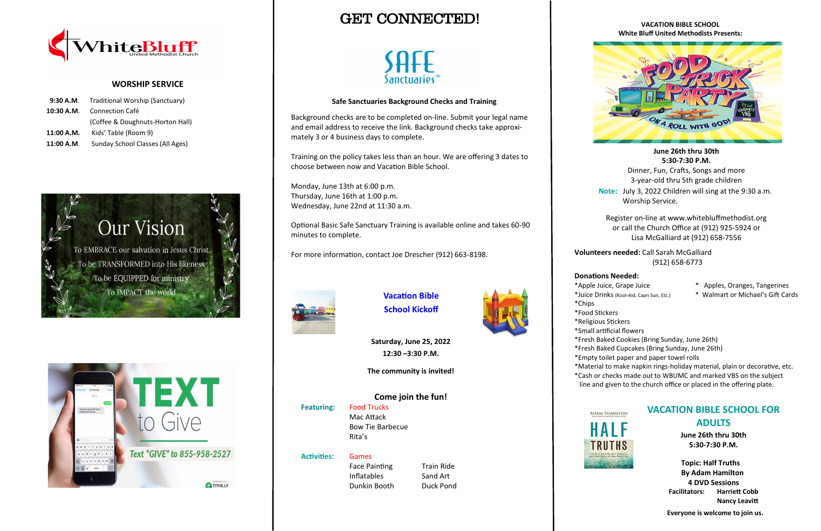# GET CONNECTED!



### **VACATION BIBLE SCHOOL White Bluff United Methodists Presents:**



**June 26th thru 30th 5:30-7:30 P.M.**

Dinner, Fun, Crafts, Songs and more 3-year-old thru 5th grade children

**Note:** July 3, 2022 Children will sing at the 9:30 a.m. Worship Service.

Register on-line at www.whitebluffmethodist.org or call the Church Office at (912) 925-5924 or Lisa McGalliard at (912) 658-7556

**Volunteers needed:** Call Sarah McGalliard (912) 658-6773

### **Donations Needed:**

- \*Apple Juice, Grape Juice \* Apples, Oranges, Tangerines
- \*Juice Drinks (Kool-Aid, Capri Sun, Etc.) \* Walmart or Michael's Gift Cards

- 
- \*Chips
- \*Food Stickers
- 
- \*Small artificial flowers
- 
- 
- 
- \*Material to make napkin rings-holiday material, plain or decorative, etc.
- 



- \*Religious Stickers
- \*Fresh Baked Cookies (Bring Sunday, June 26th)
- \*Fresh Baked Cupcakes (Bring Sunday, June 26th)
- \*Empty toilet paper and paper towel rolls
- \*Cash or checks made out to WBUMC and marked VBS on the subject
- line and given to the church office or placed in the offering plate.





### **WORSHIP SERVICE**

|            | 9:30 A.M. Traditional Worship (Sanctuary) |  |
|------------|-------------------------------------------|--|
| 10:30 A.M. | Connection Café                           |  |
|            | (Coffee & Doughnuts-Horton Hall)          |  |
| 11:00 A.M. | Kids' Table (Room 9)                      |  |
| 11:00 A.M. | Sunday School Classes (All Ages)          |  |





## **VACATION BIBLE SCHOOL FOR ADULTS**

**June 26th thru 30th 5:30-7:30 P.M.**

 **Topic: Half Truths By Adam Hamilton 4 DVD Sessions Facilitators: Harriett Cobb Nancy Leavitt**

 **Everyone is welcome to join us.**





**Saturday, June 25, 2022 12:30 –3:30 P.M.**

**The community is invited!**



### **Activities:** Games Face Painting Train Ride Inflatables Sand Art Dunkin Booth Duck Pond



### **Safe Sanctuaries Background Checks and Training**

Background checks are to be completed on-line. Submit your legal name and email address to receive the link. Background checks take approximately 3 or 4 business days to complete.

Training on the policy takes less than an hour. We are offering 3 dates to choose between now and Vacation Bible School.

Monday, June 13th at 6:00 p.m. Thursday, June 16th at 1:00 p.m. Wednesday, June 22nd at 11:30 a.m.

Optional Basic Safe Sanctuary Training is available online and takes 60-90 minutes to complete.

For more information, contact Joe Drescher (912) 663-8198.